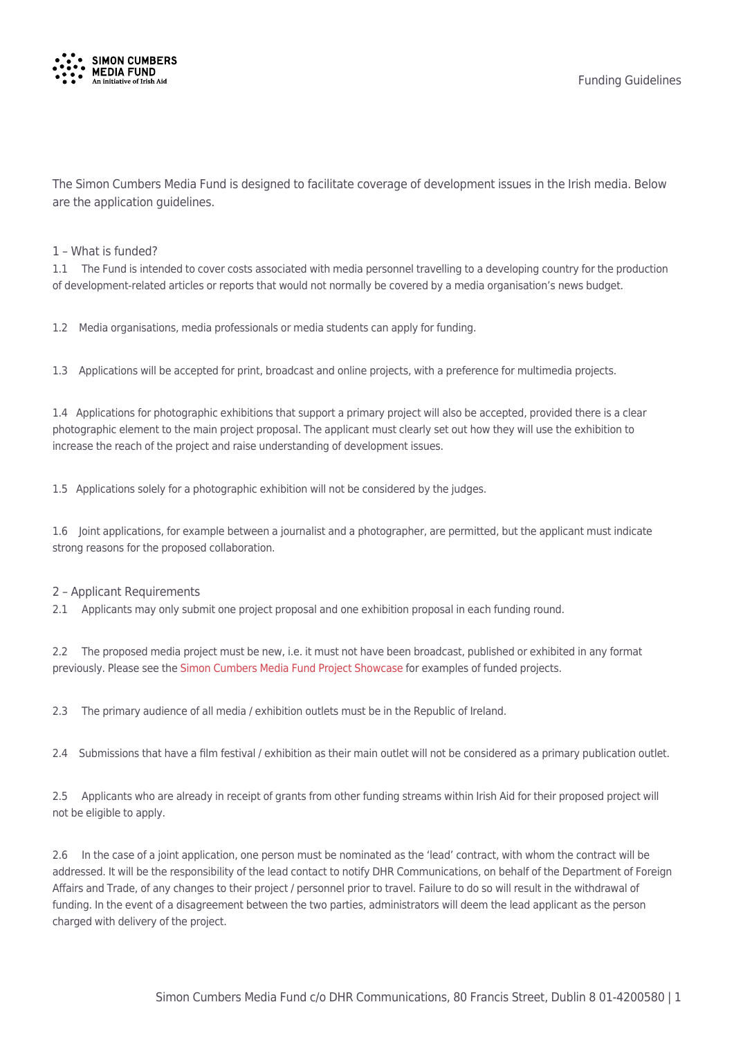

The Simon Cumbers Media Fund is designed to facilitate coverage of development issues in the Irish media. Below are the application guidelines.

#### 1 – What is funded?

1.1 The Fund is intended to cover costs associated with media personnel travelling to a developing country for the production of development-related articles or reports that would not normally be covered by a media organisation's news budget.

1.2 Media organisations, media professionals or media students can apply for funding.

1.3 Applications will be accepted for print, broadcast and online projects, with a preference for multimedia projects.

1.4 Applications for photographic exhibitions that support a primary project will also be accepted, provided there is a clear photographic element to the main project proposal. The applicant must clearly set out how they will use the exhibition to increase the reach of the project and raise understanding of development issues.

1.5 Applications solely for a photographic exhibition will not be considered by the judges.

1.6 Joint applications, for example between a journalist and a photographer, are permitted, but the applicant must indicate strong reasons for the proposed collaboration.

#### 2 – Applicant Requirements

2.1 Applicants may only submit one project proposal and one exhibition proposal in each funding round.

2.2 The proposed media project must be new, i.e. it must not have been broadcast, published or exhibited in any format previously. Please see the [Simon Cumbers Media Fund Project Showcase](https://simoncumbersmediafund.ie/projects/) for examples of funded projects.

2.3 The primary audience of all media / exhibition outlets must be in the Republic of Ireland.

2.4 Submissions that have a film festival / exhibition as their main outlet will not be considered as a primary publication outlet.

2.5 Applicants who are already in receipt of grants from other funding streams within Irish Aid for their proposed project will not be eligible to apply.

2.6 In the case of a joint application, one person must be nominated as the 'lead' contract, with whom the contract will be addressed. It will be the responsibility of the lead contact to notify DHR Communications, on behalf of the Department of Foreign Affairs and Trade, of any changes to their project / personnel prior to travel. Failure to do so will result in the withdrawal of funding. In the event of a disagreement between the two parties, administrators will deem the lead applicant as the person charged with delivery of the project.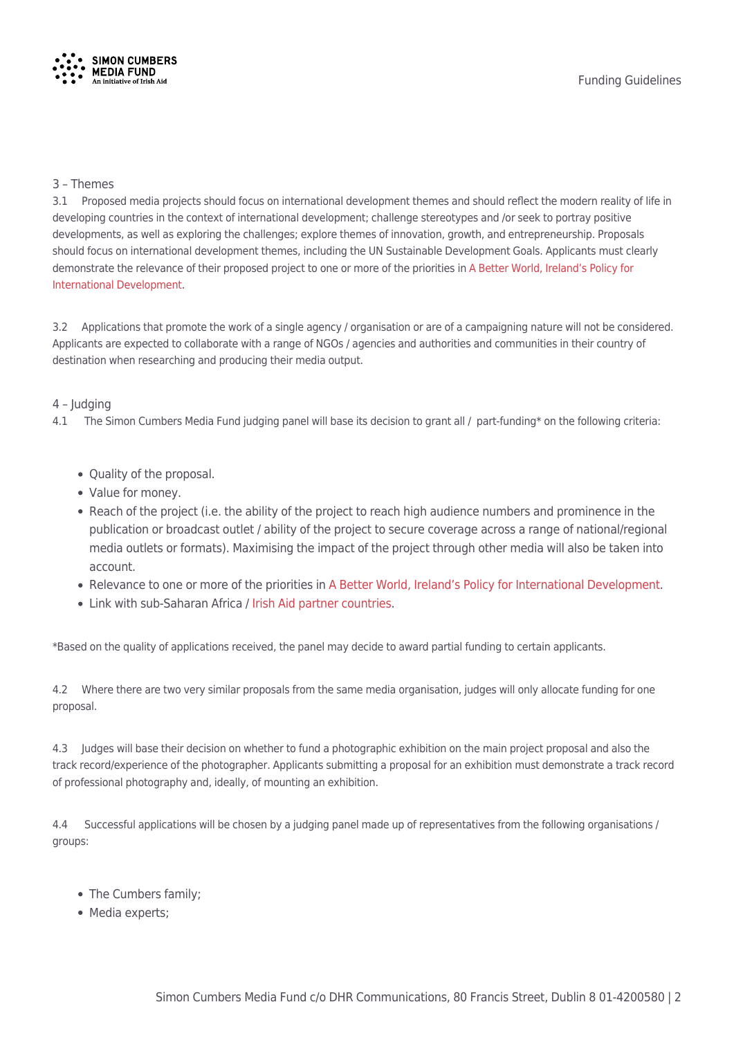

### 3 – Themes

3.1 Proposed media projects should focus on international development themes and should reflect the modern reality of life in developing countries in the context of international development; challenge stereotypes and /or seek to portray positive developments, as well as exploring the challenges; explore themes of innovation, growth, and entrepreneurship. Proposals should focus on international development themes, including the UN Sustainable Development Goals. Applicants must clearly demonstrate the relevance of their proposed project to one or more of the priorities in [A Better World, Ireland's Policy for](https://www.irishaid.ie/media/irishaid/aboutus/abetterworldirelandspolicyforinternationaldevelopment/A-Better-World-Irelands-Policy-for-International-Development.pdf) [International Development.](https://www.irishaid.ie/media/irishaid/aboutus/abetterworldirelandspolicyforinternationaldevelopment/A-Better-World-Irelands-Policy-for-International-Development.pdf)

3.2 Applications that promote the work of a single agency / organisation or are of a campaigning nature will not be considered. Applicants are expected to collaborate with a range of NGOs / agencies and authorities and communities in their country of destination when researching and producing their media output.

# 4 – Judging

4.1 The Simon Cumbers Media Fund judging panel will base its decision to grant all / part-funding\* on the following criteria:

- Quality of the proposal.
- Value for money.
- Reach of the project (i.e. the ability of the project to reach high audience numbers and prominence in the publication or broadcast outlet / ability of the project to secure coverage across a range of national/regional media outlets or formats). Maximising the impact of the project through other media will also be taken into account.
- Relevance to one or more of the priorities in [A Better World, Ireland's Policy for International Development](https://www.irishaid.ie/media/irishaid/aboutus/abetterworldirelandspolicyforinternationaldevelopment/A-Better-World-Irelands-Policy-for-International-Development.pdf).
- Link with sub-Saharan Africa / [Irish Aid partner countries.](https://www.irishaid.ie/what-we-do/countries-where-we-work/)

\*Based on the quality of applications received, the panel may decide to award partial funding to certain applicants.

4.2 Where there are two very similar proposals from the same media organisation, judges will only allocate funding for one proposal.

4.3 Judges will base their decision on whether to fund a photographic exhibition on the main project proposal and also the track record/experience of the photographer. Applicants submitting a proposal for an exhibition must demonstrate a track record of professional photography and, ideally, of mounting an exhibition.

4.4 Successful applications will be chosen by a judging panel made up of representatives from the following organisations / groups:

- The Cumbers family;
- Media experts;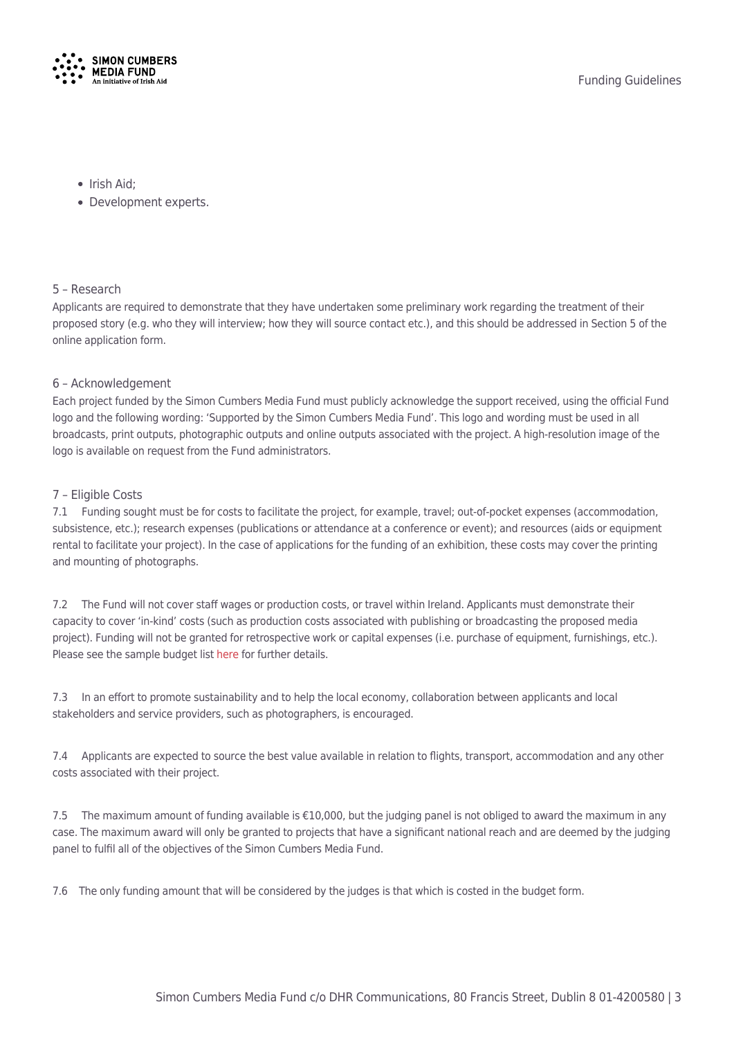

- Irish Aid:
- Development experts.

# 5 – Research

Applicants are required to demonstrate that they have undertaken some preliminary work regarding the treatment of their proposed story (e.g. who they will interview; how they will source contact etc.), and this should be addressed in Section 5 of the online application form.

# 6 – Acknowledgement

Each project funded by the Simon Cumbers Media Fund must publicly acknowledge the support received, using the official Fund logo and the following wording: 'Supported by the Simon Cumbers Media Fund'. This logo and wording must be used in all broadcasts, print outputs, photographic outputs and online outputs associated with the project. A high-resolution image of the logo is available on request from the Fund administrators.

# 7 – Eligible Costs

7.1 Funding sought must be for costs to facilitate the project, for example, travel; out-of-pocket expenses (accommodation, subsistence, etc.); research expenses (publications or attendance at a conference or event); and resources (aids or equipment rental to facilitate your project). In the case of applications for the funding of an exhibition, these costs may cover the printing and mounting of photographs.

7.2 The Fund will not cover staff wages or production costs, or travel within Ireland. Applicants must demonstrate their capacity to cover 'in-kind' costs (such as production costs associated with publishing or broadcasting the proposed media project). Funding will not be granted for retrospective work or capital expenses (i.e. purchase of equipment, furnishings, etc.). Please see the sample budget list [here f](https://simoncumbersmediafund.ie/wp-content/uploads/2019/10/SCMF-budget-guide-website.pdf)or further details.

7.3 In an effort to promote sustainability and to help the local economy, collaboration between applicants and local stakeholders and service providers, such as photographers, is encouraged.

7.4 Applicants are expected to source the best value available in relation to flights, transport, accommodation and any other costs associated with their project.

7.5 The maximum amount of funding available is €10,000, but the judging panel is not obliged to award the maximum in any case. The maximum award will only be granted to projects that have a significant national reach and are deemed by the judging panel to fulfil all of the objectives of the Simon Cumbers Media Fund.

7.6 The only funding amount that will be considered by the judges is that which is costed in the budget form.